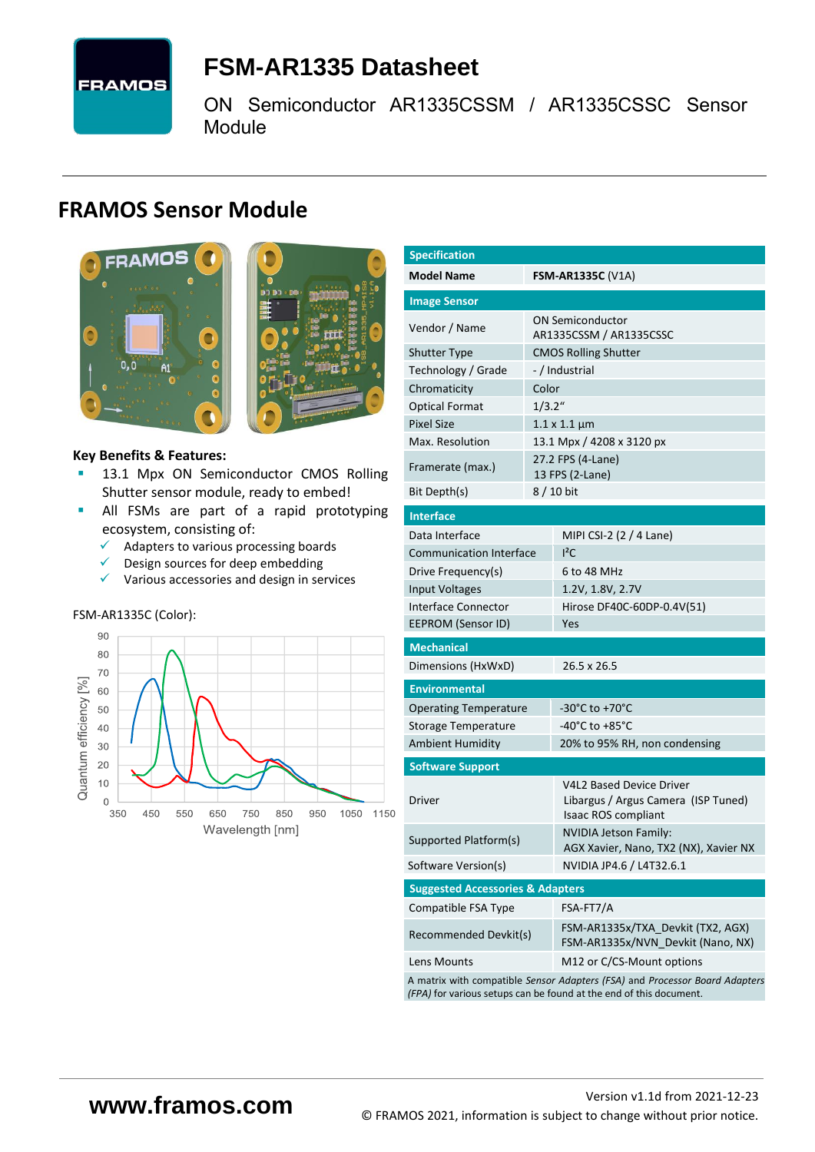

# <span id="page-0-7"></span>**FSM-AR1335 [Datasheet](#page-0-0)**

[ON Semiconductor](#page-0-1) [AR1335CSSM / AR1335CSSC](#page-0-2) Sensor Module

# **FRAMOS Sensor Module**



<span id="page-0-3"></span><span id="page-0-0"></span>

#### **Key Benefits & Features:**

- [13.1](#page-0-4) Mpx [ON Semiconductor](#page-0-1) CMOS Rolling [Shutter](#page-0-5) sensor module, ready to embed!
- **E** All FSMs are part of a rapid prototyping ecosystem, consisting of:
	- $\checkmark$  Adapters to various processing boards
	- $\checkmark$  Design sources for deep embedding
	- ✓ Various accessories and design in services

#### FSM-AR1335C (Color):



<span id="page-0-6"></span><span id="page-0-5"></span><span id="page-0-4"></span><span id="page-0-2"></span><span id="page-0-1"></span>

| <b>Specification</b>                        |           |                                                                                                                                                   |  |  |  |  |
|---------------------------------------------|-----------|---------------------------------------------------------------------------------------------------------------------------------------------------|--|--|--|--|
| <b>Model Name</b>                           |           | <b>FSM-AR1335C</b> (V1A)                                                                                                                          |  |  |  |  |
| <b>Image Sensor</b>                         |           |                                                                                                                                                   |  |  |  |  |
| Vendor / Name                               |           | <b>ON Semiconductor</b><br>AR1335CSSM / AR1335CSSC                                                                                                |  |  |  |  |
| <b>Shutter Type</b>                         |           | <b>CMOS Rolling Shutter</b>                                                                                                                       |  |  |  |  |
| Technology / Grade                          |           | -/Industrial                                                                                                                                      |  |  |  |  |
| Chromaticity                                | Color     |                                                                                                                                                   |  |  |  |  |
| <b>Optical Format</b>                       | $1/3.2$ " |                                                                                                                                                   |  |  |  |  |
| <b>Pixel Size</b>                           |           | $1.1 \times 1.1 \,\mu m$                                                                                                                          |  |  |  |  |
| Max. Resolution                             |           | 13.1 Mpx / 4208 x 3120 px                                                                                                                         |  |  |  |  |
| Framerate (max.)                            |           | 27.2 FPS (4-Lane)<br>13 FPS (2-Lane)                                                                                                              |  |  |  |  |
| Bit Depth(s)                                |           | 8 / 10 bit                                                                                                                                        |  |  |  |  |
| <b>Interface</b>                            |           |                                                                                                                                                   |  |  |  |  |
| Data Interface                              |           | MIPI CSI-2 (2 / 4 Lane)                                                                                                                           |  |  |  |  |
| <b>Communication Interface</b>              |           | ${}^{12}$ C                                                                                                                                       |  |  |  |  |
| Drive Frequency(s)                          |           | 6 to 48 MHz                                                                                                                                       |  |  |  |  |
| <b>Input Voltages</b>                       |           | 1.2V, 1.8V, 2.7V                                                                                                                                  |  |  |  |  |
| Interface Connector                         |           | Hirose DF40C-60DP-0.4V(51)                                                                                                                        |  |  |  |  |
| <b>EEPROM (Sensor ID)</b>                   |           | Yes                                                                                                                                               |  |  |  |  |
| <b>Mechanical</b>                           |           |                                                                                                                                                   |  |  |  |  |
| Dimensions (HxWxD)                          |           | 26.5 x 26.5                                                                                                                                       |  |  |  |  |
| <b>Environmental</b>                        |           |                                                                                                                                                   |  |  |  |  |
| <b>Operating Temperature</b>                |           | -30°C to +70°C                                                                                                                                    |  |  |  |  |
| Storage Temperature                         |           | -40°C to +85°C                                                                                                                                    |  |  |  |  |
| <b>Ambient Humidity</b>                     |           | 20% to 95% RH, non condensing                                                                                                                     |  |  |  |  |
| <b>Software Support</b>                     |           |                                                                                                                                                   |  |  |  |  |
| Driver                                      |           | <b>V4L2 Based Device Driver</b><br>Libargus / Argus Camera (ISP Tuned)<br>Isaac ROS compliant                                                     |  |  |  |  |
| Supported Platform(s)                       |           | <b>NVIDIA Jetson Family:</b><br>AGX Xavier, Nano, TX2 (NX), Xavier NX                                                                             |  |  |  |  |
| Software Version(s)                         |           | NVIDIA JP4.6 / L4T32.6.1                                                                                                                          |  |  |  |  |
| <b>Suggested Accessories &amp; Adapters</b> |           |                                                                                                                                                   |  |  |  |  |
| Compatible FSA Type                         |           | FSA-FT7/A                                                                                                                                         |  |  |  |  |
| Recommended Devkit(s)                       |           | FSM-AR1335x/TXA Devkit (TX2, AGX)<br>FSM-AR1335x/NVN_Devkit (Nano, NX)                                                                            |  |  |  |  |
| Lens Mounts                                 |           | M12 or C/CS-Mount options                                                                                                                         |  |  |  |  |
|                                             |           | A matrix with compatible Sensor Adapters (FSA) and Processor Board Adapters<br>(FPA) for various setups can be found at the end of this document. |  |  |  |  |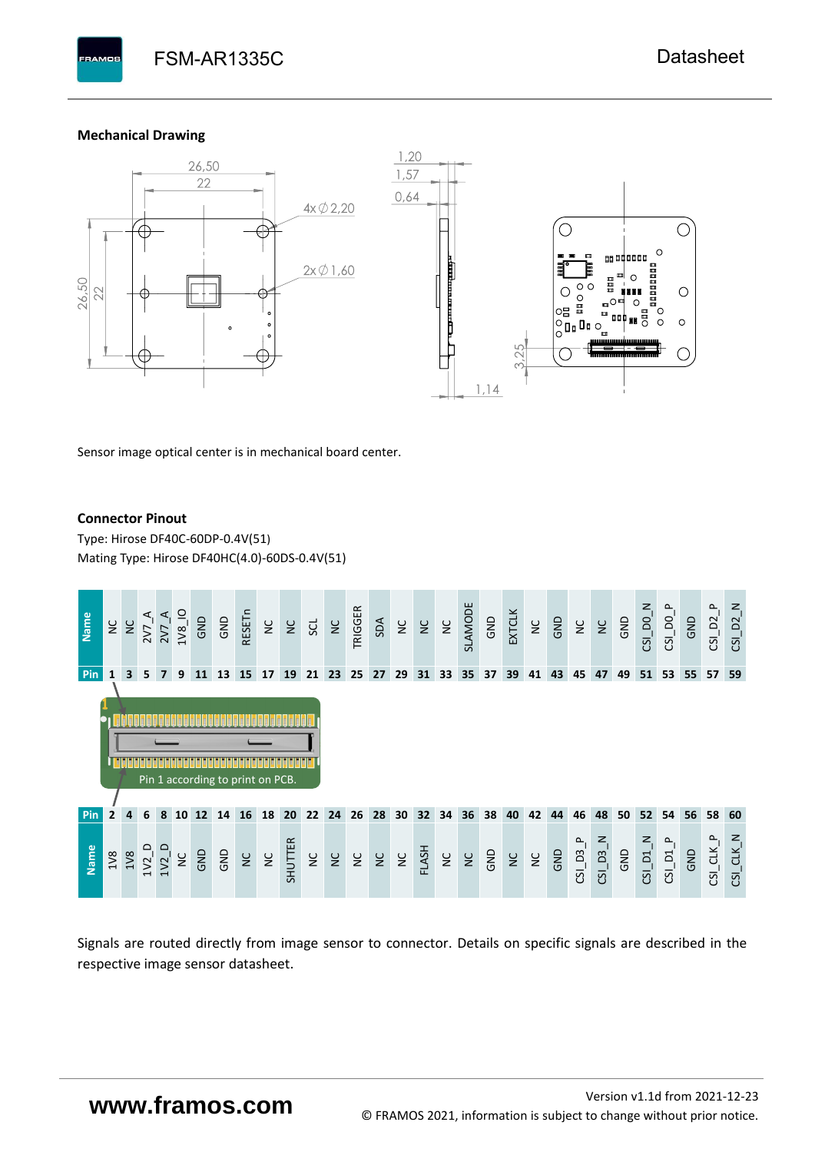#### **Mechanical Drawing**

**BAMOS** 



Sensor image optical center is in mechanical board center.

#### **Connector Pinout**

Type: [Hirose DF40C-60DP-0.4V\(51](#page-0-6)[\)](#page-0-6)  Mating Type: Hirose DF40HC(4.0)-60DS-0.4V(51)



Signals are routed directly from image sensor to connector. Details on specific signals are described in the respective image sensor datasheet.

# **www.framos.com**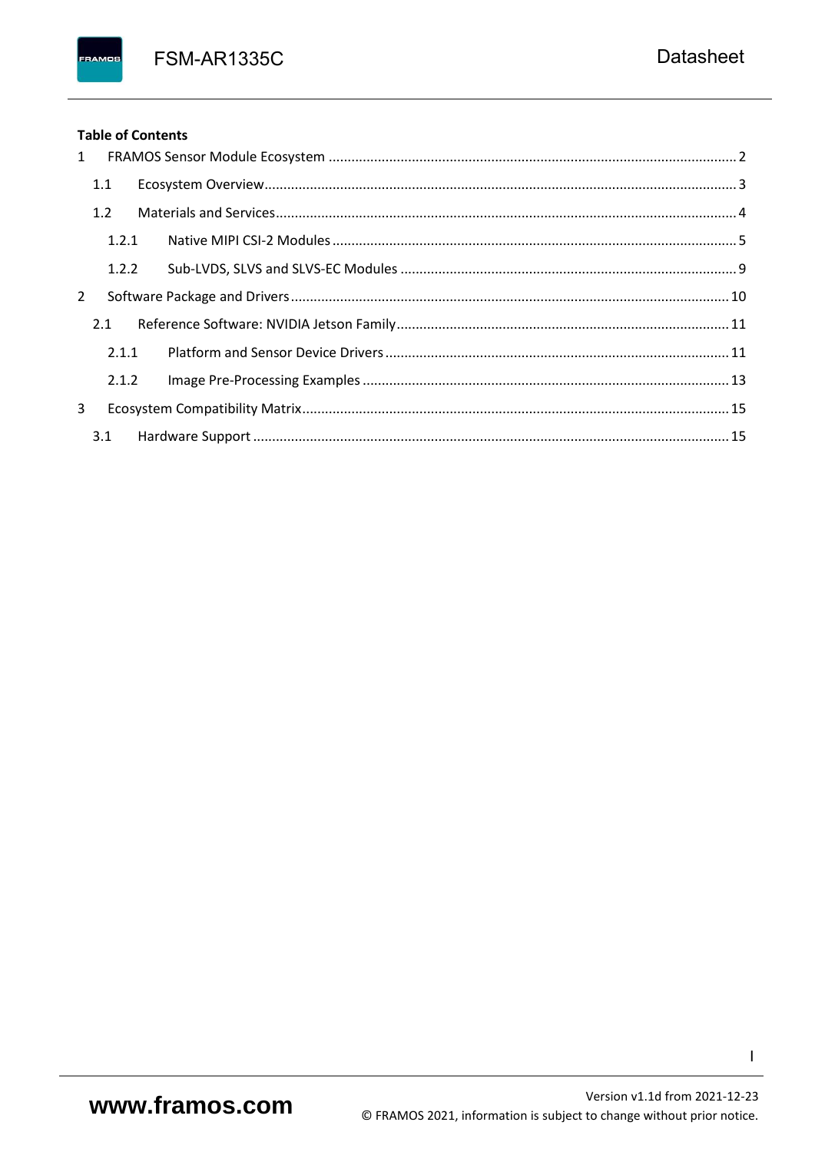**FSM-AR1335C** 

## **Table of Contents**

FRAMOS

| 1 |       |  |  |
|---|-------|--|--|
|   | 1.1   |  |  |
|   | 1.2   |  |  |
|   | 1.2.1 |  |  |
|   | 1.2.2 |  |  |
| 2 |       |  |  |
|   | 2.1   |  |  |
|   | 2.1.1 |  |  |
|   | 2.1.2 |  |  |
| 3 |       |  |  |
|   | 3.1   |  |  |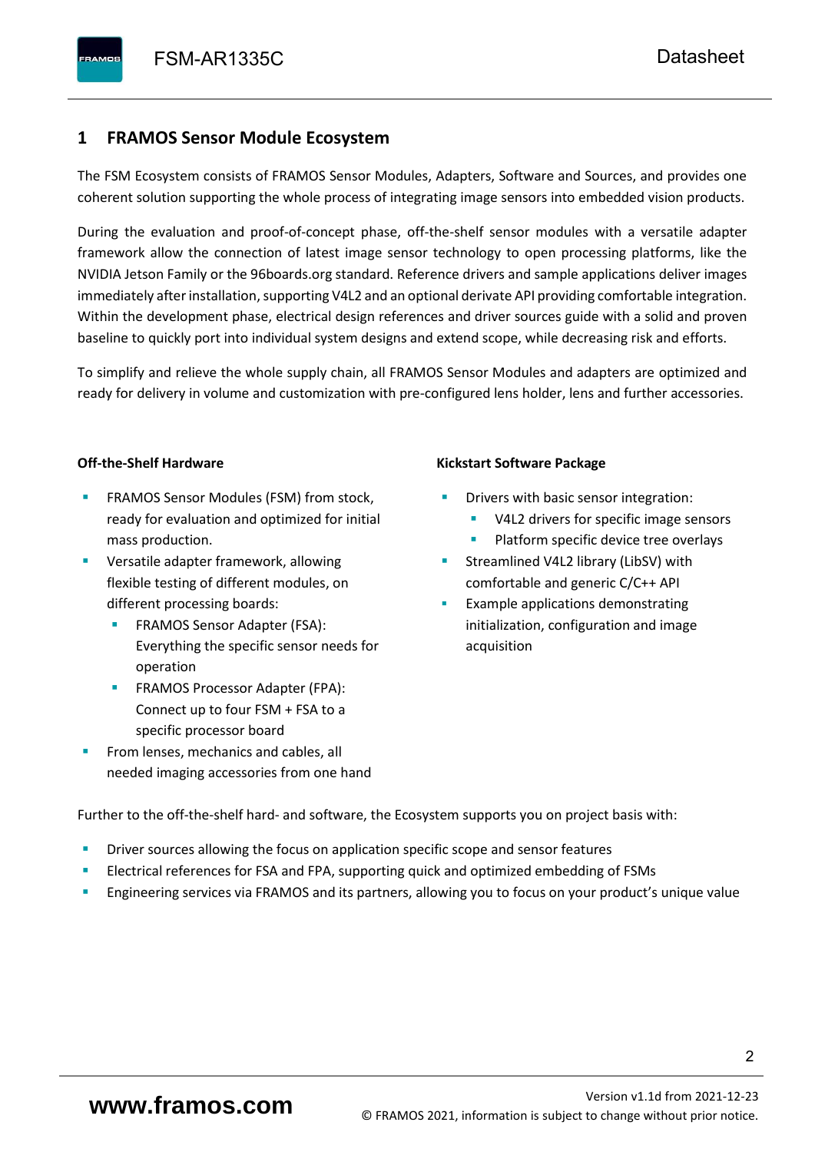## <span id="page-3-0"></span>**1 FRAMOS Sensor Module Ecosystem**

The FSM Ecosystem consists of FRAMOS Sensor Modules, Adapters, Software and Sources, and provides one coherent solution supporting the whole process of integrating image sensors into embedded vision products.

During the evaluation and proof-of-concept phase, off-the-shelf sensor modules with a versatile adapter framework allow the connection of latest image sensor technology to open processing platforms, like the NVIDIA Jetson Family or the 96boards.org standard. Reference drivers and sample applications deliver images immediately after installation, supporting V4L2 and an optional derivate API providing comfortable integration. Within the development phase, electrical design references and driver sources guide with a solid and proven baseline to quickly port into individual system designs and extend scope, while decreasing risk and efforts.

To simplify and relieve the whole supply chain, all FRAMOS Sensor Modules and adapters are optimized and ready for delivery in volume and customization with pre-configured lens holder, lens and further accessories.

#### **Off-the-Shelf Hardware**

- FRAMOS Sensor Modules (FSM) from stock, ready for evaluation and optimized for initial mass production.
- Versatile adapter framework, allowing flexible testing of different modules, on different processing boards:
	- FRAMOS Sensor Adapter (FSA): Everything the specific sensor needs for operation
	- FRAMOS Processor Adapter (FPA): Connect up to four FSM + FSA to a specific processor board
- From lenses, mechanics and cables, all needed imaging accessories from one hand

#### **Kickstart Software Package**

- Drivers with basic sensor integration:
	- V4L2 drivers for specific image sensors
	- Platform specific device tree overlays
- Streamlined V4L2 library (LibSV) with comfortable and generic C/C++ API
- Example applications demonstrating initialization, configuration and image acquisition

Further to the off-the-shelf hard- and software, the Ecosystem supports you on project basis with:

- Driver sources allowing the focus on application specific scope and sensor features
- Electrical references for FSA and FPA, supporting quick and optimized embedding of FSMs
- Engineering services via FRAMOS and its partners, allowing you to focus on your product's unique value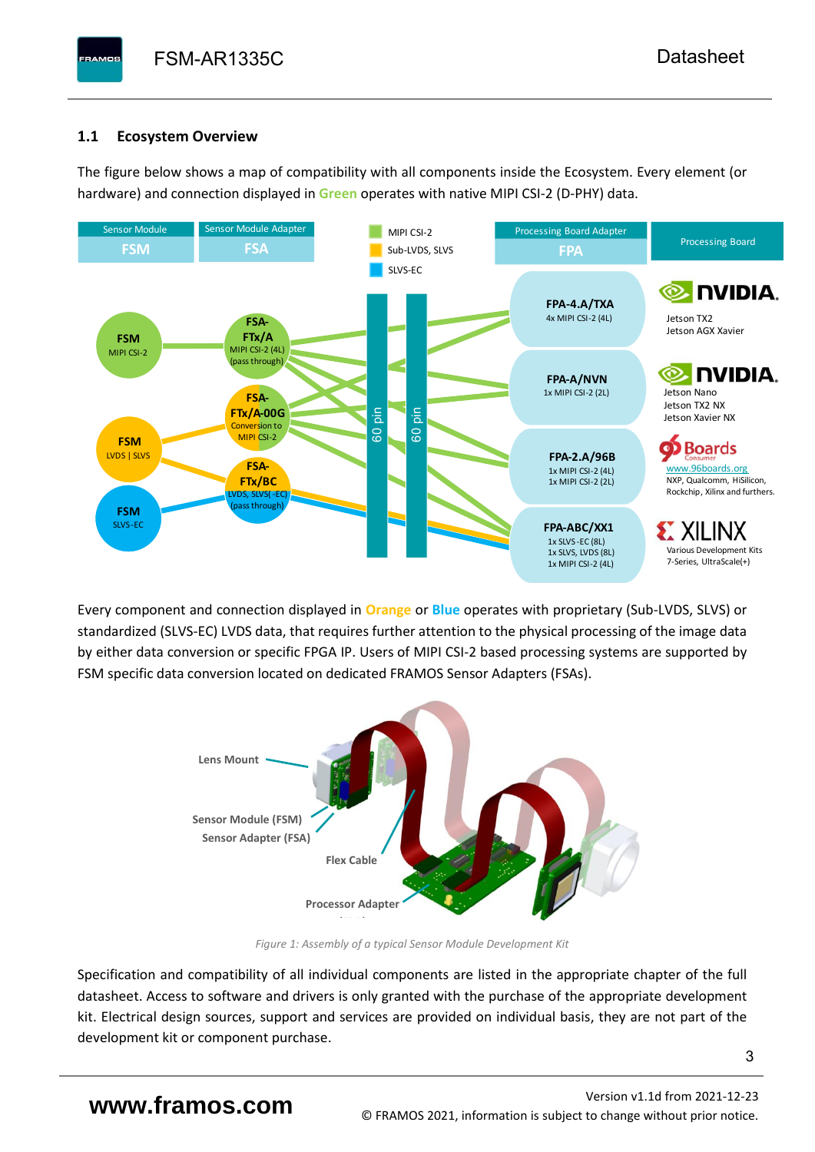# <span id="page-4-0"></span>**1.1 Ecosystem Overview**

**PAMOS** 

The figure below shows a map of compatibility with all components inside the Ecosystem. Every element (or hardware) and connection displayed in **Green** operates with native MIPI CSI-2 (D-PHY) data.



Every component and connection displayed in **Orange** or **Blue** operates with proprietary (Sub-LVDS, SLVS) or standardized (SLVS-EC) LVDS data, that requires further attention to the physical processing of the image data by either data conversion or specific FPGA IP. Users of MIPI CSI-2 based processing systems are supported by FSM specific data conversion located on dedicated FRAMOS Sensor Adapters (FSAs).



*Figure 1: Assembly of a typical Sensor Module Development Kit*

Specification and compatibility of all individual components are listed in the appropriate chapter of the full datasheet. Access to software and drivers is only granted with the purchase of the appropriate development kit. Electrical design sources, support and services are provided on individual basis, they are not part of the development kit or component purchase.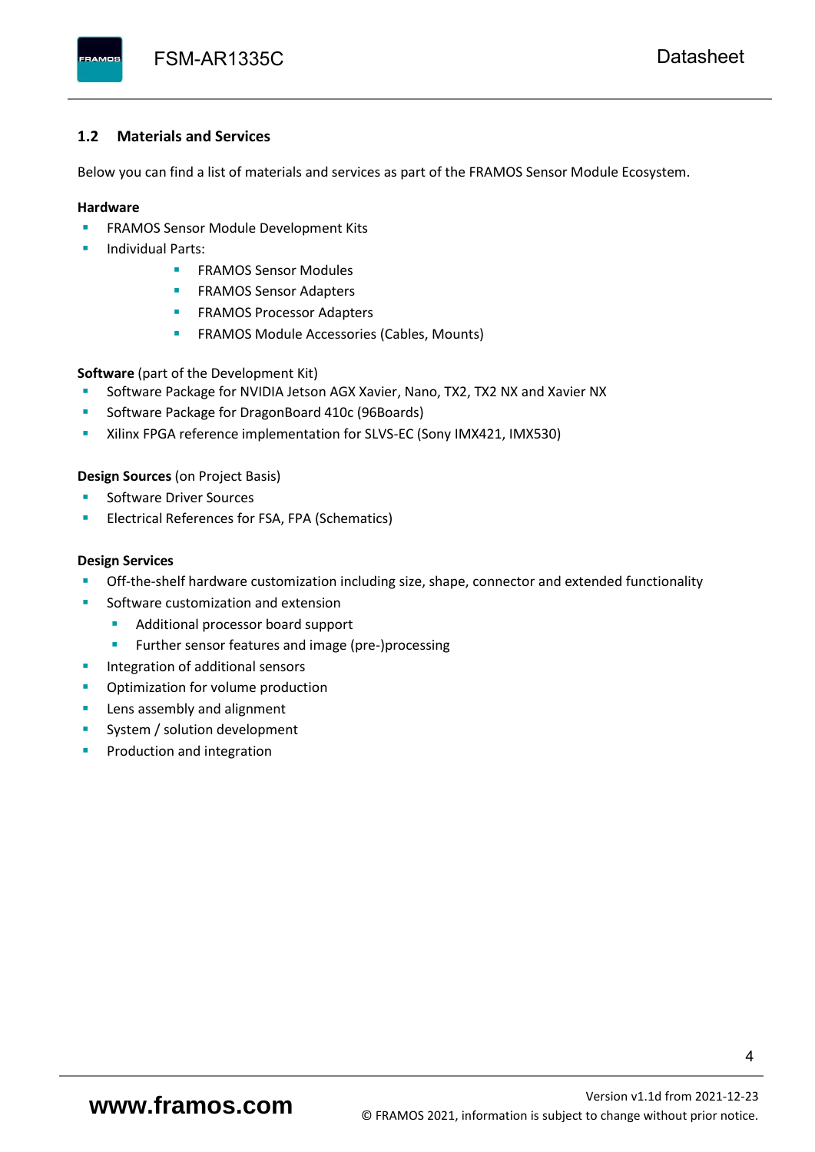#### <span id="page-5-0"></span>**1.2 Materials and Services**

Below you can find a list of materials and services as part of the FRAMOS Sensor Module Ecosystem.

#### **Hardware**

- **EXECTED FRAMOS Sensor Module Development Kits**
- **Individual Parts:** 
	- FRAMOS Sensor Modules
	- **FRAMOS Sensor Adapters**
	- **EXAMOS Processor Adapters**
	- **EXECTED** FRAMOS Module Accessories (Cables, Mounts)

**Software** (part of the Development Kit)

- Software Package for NVIDIA Jetson AGX Xavier, Nano, TX2, TX2 NX and Xavier NX
- Software Package for DragonBoard 410c (96Boards)
- **E** Xilinx FPGA reference implementation for SLVS-EC (Sony IMX421, IMX530)

#### **Design Sources** (on Project Basis)

- Software Driver Sources
- Electrical References for FSA, FPA (Schematics)

#### **Design Services**

- Off-the-shelf hardware customization including size, shape, connector and extended functionality
- Software customization and extension
	- Additional processor board support
	- Further sensor features and image (pre-)processing
- **■** Integration of additional sensors
- Optimization for volume production
- Lens assembly and alignment
- System / solution development
- Production and integration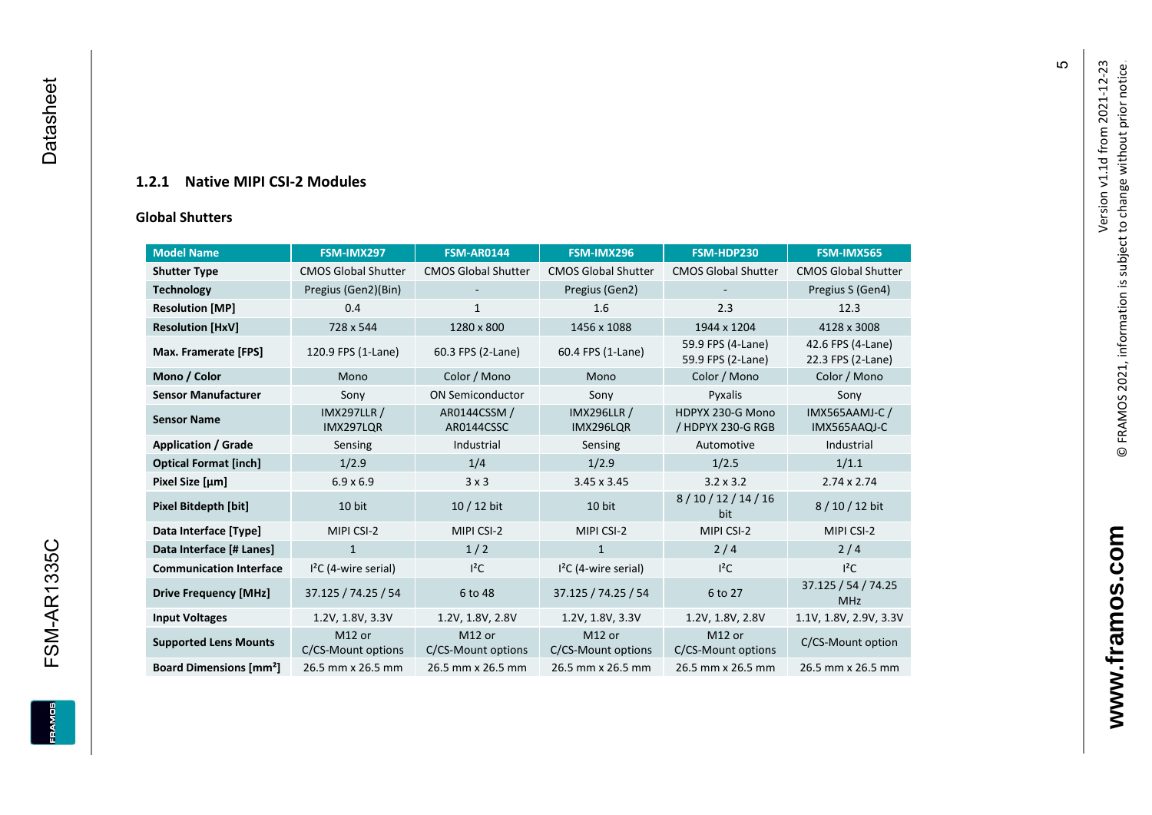## **1.2.1 Native MIPI CSI - 2 Modules**

#### **[Global Shu](#page-0-7)tters**

<span id="page-6-0"></span>

| <b>Model Name</b>                        | FSM-IMX297                      | <b>FSM-AR0144</b>            | FSM-IMX296                      | FSM-HDP230                             | FSM-IMX565                             |
|------------------------------------------|---------------------------------|------------------------------|---------------------------------|----------------------------------------|----------------------------------------|
| <b>Shutter Type</b>                      | <b>CMOS Global Shutter</b>      | <b>CMOS Global Shutter</b>   | <b>CMOS Global Shutter</b>      | <b>CMOS Global Shutter</b>             | <b>CMOS Global Shutter</b>             |
| <b>Technology</b>                        | Pregius (Gen2)(Bin)             | $\overline{\phantom{a}}$     | Pregius (Gen2)                  |                                        | Pregius S (Gen4)                       |
| <b>Resolution [MP]</b>                   | 0.4                             | 1                            | 1.6                             | 2.3                                    | 12.3                                   |
| <b>Resolution [HxV]</b>                  | 728 x 544                       | 1280 x 800                   | 1456 x 1088                     | 1944 x 1204                            | 4128 x 3008                            |
| Max. Framerate [FPS]                     | 120.9 FPS (1-Lane)              | 60.3 FPS (2-Lane)            | 60.4 FPS (1-Lane)               | 59.9 FPS (4-Lane)<br>59.9 FPS (2-Lane) | 42.6 FPS (4-Lane)<br>22.3 FPS (2-Lane) |
| Mono / Color                             | Mono                            | Color / Mono                 | Mono                            | Color / Mono                           | Color / Mono                           |
| <b>Sensor Manufacturer</b>               | Sony                            | <b>ON Semiconductor</b>      | Sony                            | Pyxalis                                | Sony                                   |
| <b>Sensor Name</b>                       | <b>IMX297LLR /</b><br>IMX297LQR | AR0144CSSM /<br>AR0144CSSC   | <b>IMX296LLR /</b><br>IMX296LQR | HDPYX 230-G Mono<br>/ HDPYX 230-G RGB  | <b>IMX565AAMJ-C/</b><br>IMX565AAQJ-C   |
| <b>Application / Grade</b>               | Sensing                         | Industrial                   | Sensing                         | Automotive                             | Industrial                             |
| <b>Optical Format [inch]</b>             | 1/2.9                           | 1/4                          | 1/2.9                           | 1/2.5                                  | 1/1.1                                  |
| Pixel Size [µm]                          | $6.9 \times 6.9$                | 3x3                          | $3.45 \times 3.45$              | $3.2 \times 3.2$                       | $2.74 \times 2.74$                     |
| <b>Pixel Bitdepth [bit]</b>              | 10 bit                          | 10 / 12 bit                  | 10 bit                          | 8/10/12/14/16<br>bit                   | 8/10/12 bit                            |
| Data Interface [Type]                    | MIPI CSI-2                      | MIPI CSI-2                   | MIPI CSI-2                      | MIPI CSI-2                             | MIPI CSI-2                             |
| Data Interface [# Lanes]                 | $\mathbf{1}$                    | 1/2                          | $\mathbf{1}$                    | 2/4                                    | 2/4                                    |
| <b>Communication Interface</b>           | $I2C$ (4-wire serial)           | $l^2C$                       | $I2C$ (4-wire serial)           | $l^2C$                                 | $I^2C$                                 |
| <b>Drive Frequency [MHz]</b>             | 37.125 / 74.25 / 54             | 6 to 48                      | 37.125 / 74.25 / 54             | 6 to 27                                | 37.125 / 54 / 74.25<br><b>MHz</b>      |
| <b>Input Voltages</b>                    | 1.2V, 1.8V, 3.3V                | 1.2V, 1.8V, 2.8V             | 1.2V, 1.8V, 3.3V                | 1.2V, 1.8V, 2.8V                       | 1.1V, 1.8V, 2.9V, 3.3V                 |
| <b>Supported Lens Mounts</b>             | M12 or<br>C/CS-Mount options    | M12 or<br>C/CS-Mount options | M12 or<br>C/CS-Mount options    | M12 or<br>C/CS-Mount options           | C/CS-Mount option                      |
| <b>Board Dimensions [mm<sup>2</sup>]</b> | 26.5 mm x 26.5 mm               | 26.5 mm x 26.5 mm            | 26.5 mm x 26.5 mm               | 26.5 mm x 26.5 mm                      | 26.5 mm x 26.5 mm                      |

 $\mathfrak{g}$ 

**www.framos.com**

www.framos.com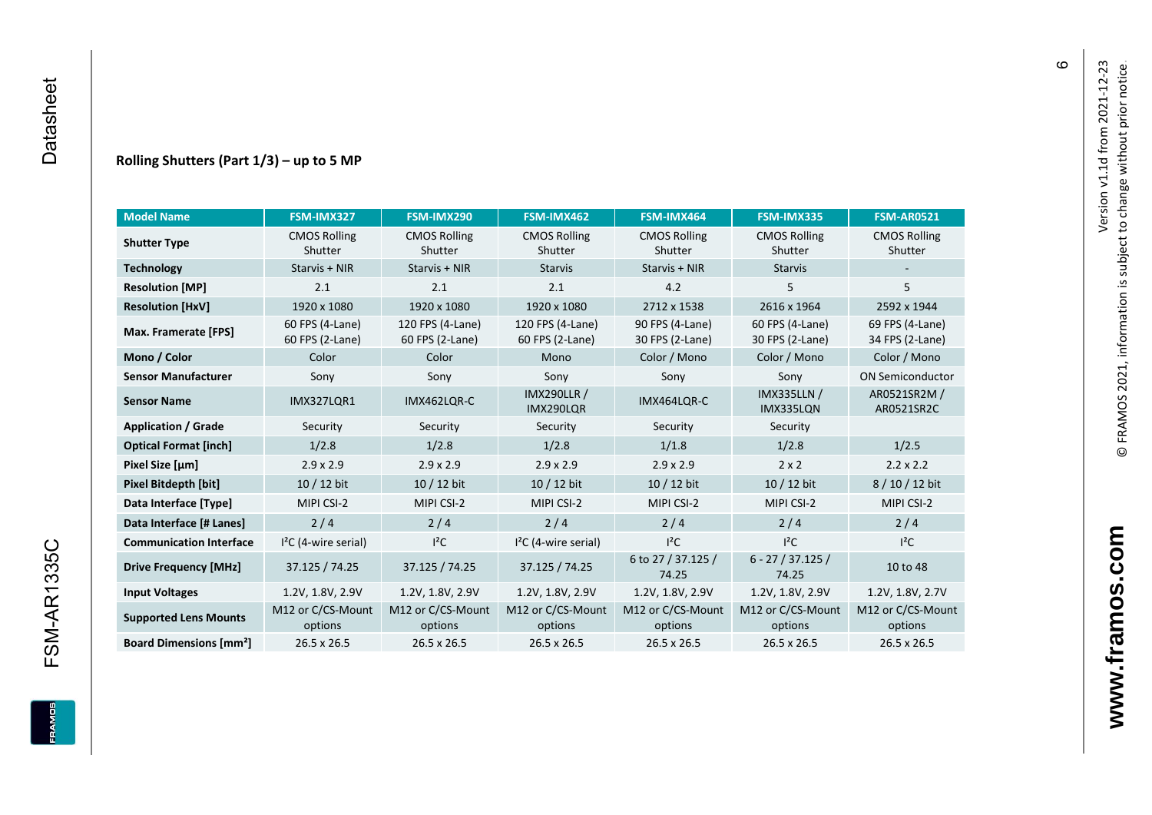#### **Rolling Shutters (Part 1/ 3 ) – up to 5 MP**

| <b>Model Name</b>                        | FSM-IMX327                         | FSM-IMX290                          | FSM-IMX462                          | FSM-IMX464                         | FSM-IMX335                         | <b>FSM-AR0521</b>                  |
|------------------------------------------|------------------------------------|-------------------------------------|-------------------------------------|------------------------------------|------------------------------------|------------------------------------|
| <b>Shutter Type</b>                      | <b>CMOS Rolling</b><br>Shutter     | <b>CMOS Rolling</b><br>Shutter      | <b>CMOS Rolling</b><br>Shutter      | <b>CMOS Rolling</b><br>Shutter     | <b>CMOS Rolling</b><br>Shutter     | <b>CMOS Rolling</b><br>Shutter     |
| <b>Technology</b>                        | Starvis + NIR                      | Starvis + NIR                       | <b>Starvis</b>                      | Starvis + NIR                      | <b>Starvis</b>                     |                                    |
| <b>Resolution [MP]</b>                   | 2.1                                | 2.1                                 | 2.1                                 | 4.2                                | 5                                  | 5                                  |
| <b>Resolution [HxV]</b>                  | 1920 x 1080                        | 1920 x 1080                         | 1920 x 1080                         | 2712 x 1538                        | 2616 x 1964                        | 2592 x 1944                        |
| Max. Framerate [FPS]                     | 60 FPS (4-Lane)<br>60 FPS (2-Lane) | 120 FPS (4-Lane)<br>60 FPS (2-Lane) | 120 FPS (4-Lane)<br>60 FPS (2-Lane) | 90 FPS (4-Lane)<br>30 FPS (2-Lane) | 60 FPS (4-Lane)<br>30 FPS (2-Lane) | 69 FPS (4-Lane)<br>34 FPS (2-Lane) |
| Mono / Color                             | Color                              | Color                               | Mono                                | Color / Mono                       | Color / Mono                       | Color / Mono                       |
| <b>Sensor Manufacturer</b>               | Sony                               | Sony                                | Sony                                | Sony                               | Sony                               | <b>ON Semiconductor</b>            |
| <b>Sensor Name</b>                       | <b>IMX327LOR1</b><br>IMX462LOR-C   |                                     | <b>IMX290LLR /</b><br>IMX290LQR     | IMX464LQR-C                        | <b>IMX335LLN /</b><br>IMX335LQN    | AR0521SR2M /<br>AR0521SR2C         |
| <b>Application / Grade</b>               | Security                           | Security                            | Security                            | Security                           | Security                           |                                    |
| <b>Optical Format [inch]</b>             | 1/2.8                              | 1/2.8                               | 1/2.8                               | 1/1.8                              |                                    | 1/2.5                              |
| Pixel Size [µm]                          | $2.9 \times 2.9$                   | $2.9 \times 2.9$                    | $2.9 \times 2.9$                    | $2.9 \times 2.9$                   | $2 \times 2$                       | $2.2 \times 2.2$                   |
| <b>Pixel Bitdepth [bit]</b>              | 10 / 12 bit                        | 10 / 12 bit                         | 10 / 12 bit<br>10 / 12 bit          |                                    | 10 / 12 bit                        | 8/10/12 bit                        |
| Data Interface [Type]                    | MIPI CSI-2                         | MIPI CSI-2                          | MIPI CSI-2                          | MIPI CSI-2                         | MIPI CSI-2                         | MIPI CSI-2                         |
| Data Interface [# Lanes]                 | 2/4                                | 2/4                                 | 2/4                                 | 2/4                                | 2/4                                | 2/4                                |
| <b>Communication Interface</b>           | $I2C$ (4-wire serial)              | $l^2C$                              | $I2C$ (4-wire serial)               | $I^2C$                             | $l^2C$                             | $l^2C$                             |
| <b>Drive Frequency [MHz]</b>             | 37.125 / 74.25<br>37.125 / 74.25   |                                     | 37.125 / 74.25                      | 6 to 27 / 37.125 /<br>74.25        | $6 - 27 / 37.125 /$<br>74.25       | 10 to 48                           |
| <b>Input Voltages</b>                    | 1.2V, 1.8V, 2.9V                   | 1.2V, 1.8V, 2.9V                    | 1.2V, 1.8V, 2.9V                    | 1.2V, 1.8V, 2.9V                   | 1.2V, 1.8V, 2.9V                   | 1.2V, 1.8V, 2.7V                   |
| <b>Supported Lens Mounts</b>             | M12 or C/CS-Mount<br>options       | M12 or C/CS-Mount<br>options        | M12 or C/CS-Mount<br>options        | M12 or C/CS-Mount<br>options       | M12 or C/CS-Mount<br>options       | M12 or C/CS-Mount<br>options       |
| <b>Board Dimensions [mm<sup>2</sup>]</b> | $26.5 \times 26.5$                 | $26.5 \times 26.5$                  | 26.5 x 26.5                         | $26.5 \times 26.5$                 | 26.5 x 26.5                        | 26.5 x 26.5                        |

 $\pmb{\circ}$ 

**FSM-AR1335C**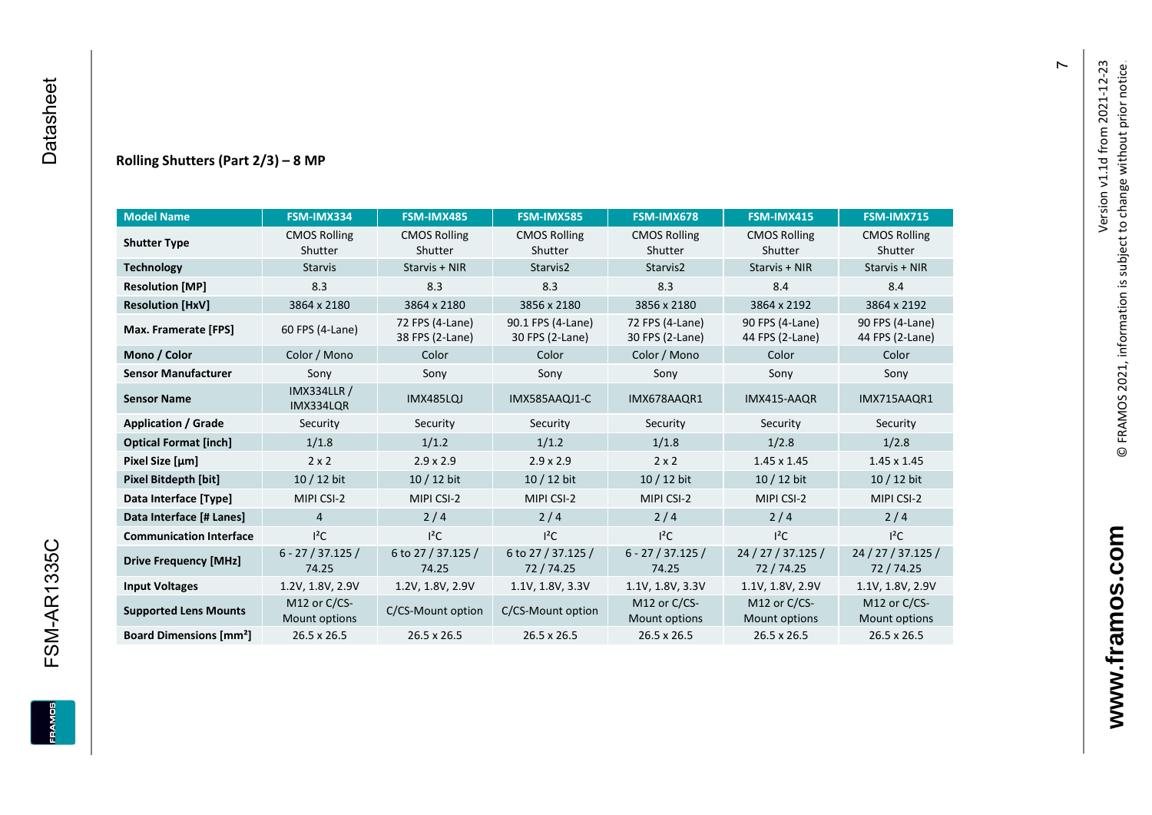**FSM-AR1335C** 

**ERAMOS** 

#### **Rolling Shutters (Part 2/ 3 ) – 8 MP**

| <b>Model Name</b>                        | FSM-IMX334                      | FSM-IMX485                         | <b>FSM-IMX585</b>                    | FSM-IMX678                         | FSM-IMX415                         | <b>FSM-IMX715</b>                  |
|------------------------------------------|---------------------------------|------------------------------------|--------------------------------------|------------------------------------|------------------------------------|------------------------------------|
| <b>Shutter Type</b>                      | <b>CMOS Rolling</b>             | <b>CMOS Rolling</b>                | <b>CMOS Rolling</b>                  | <b>CMOS Rolling</b>                | <b>CMOS Rolling</b>                | <b>CMOS Rolling</b>                |
|                                          | Shutter                         | Shutter                            | Shutter                              | Shutter                            | Shutter                            | Shutter                            |
| <b>Technology</b>                        | <b>Starvis</b>                  | Starvis + NIR                      | Starvis2                             | Starvis2                           | Starvis + NIR                      | Starvis + NIR                      |
| <b>Resolution [MP]</b>                   | 8.3                             | 8.3                                | 8.3                                  | 8.3                                | 8.4                                | 8.4                                |
| <b>Resolution [HxV]</b>                  | 3864 x 2180                     | 3864 x 2180                        | 3856 x 2180                          | 3856 x 2180                        | 3864 x 2192                        | 3864 x 2192                        |
| Max. Framerate [FPS]                     | 60 FPS (4-Lane)                 | 72 FPS (4-Lane)<br>38 FPS (2-Lane) | 90.1 FPS (4-Lane)<br>30 FPS (2-Lane) | 72 FPS (4-Lane)<br>30 FPS (2-Lane) | 90 FPS (4-Lane)<br>44 FPS (2-Lane) | 90 FPS (4-Lane)<br>44 FPS (2-Lane) |
| Mono / Color                             | Color / Mono                    | Color                              | Color                                | Color / Mono                       | Color                              | Color                              |
| <b>Sensor Manufacturer</b>               | Sony                            | Sony                               | Sony                                 | Sony                               | Sony                               | Sony                               |
| <b>Sensor Name</b>                       | <b>IMX334LLR /</b><br>IMX334LQR | IMX485LQJ                          | IMX585AAQJ1-C                        | IMX678AAQR1                        | IMX415-AAQR                        | IMX715AAQR1                        |
| <b>Application / Grade</b>               | Security                        | Security                           | Security                             | Security                           | Security                           | Security                           |
| <b>Optical Format [inch]</b>             | 1/1.8                           | 1/1.2                              | 1/1.2<br>1/1.8                       |                                    | 1/2.8                              | 1/2.8                              |
| Pixel Size [µm]                          | $2 \times 2$                    | $2.9 \times 2.9$                   | $2.9 \times 2.9$<br>$2 \times 2$     |                                    | $1.45 \times 1.45$                 | $1.45 \times 1.45$                 |
| <b>Pixel Bitdepth [bit]</b>              | $10/12$ bit                     | 10 / 12 bit                        | 10 / 12 bit<br>10 / 12 bit           |                                    | $10/12$ bit                        | $10/12$ bit                        |
| Data Interface [Type]                    | MIPI CSI-2                      | MIPI CSI-2                         | MIPI CSI-2                           | MIPI CSI-2                         | MIPI CSI-2                         | MIPI CSI-2                         |
| Data Interface [# Lanes]                 | $\overline{4}$                  | 2/4                                | 2/4                                  | 2/4                                | 2/4                                | 2/4                                |
| <b>Communication Interface</b>           | $I^2C$                          | $I^2C$                             | $I^2C$                               | $I^2C$                             | $I^2C$                             | $I^2C$                             |
| <b>Drive Frequency [MHz]</b>             | $6 - 27 / 37.125 /$<br>74.25    | 6 to 27 / 37.125 /<br>74.25        | 6 to 27 / 37.125 /<br>72/74.25       | $6 - 27 / 37.125 /$<br>74.25       | 24 / 27 / 37.125 /<br>72 / 74.25   | 24 / 27 / 37.125 /<br>72 / 74.25   |
| <b>Input Voltages</b>                    | 1.2V, 1.8V, 2.9V                | 1.2V, 1.8V, 2.9V                   | 1.1V, 1.8V, 3.3V                     | 1.1V, 1.8V, 3.3V                   | 1.1V, 1.8V, 2.9V                   | 1.1V, 1.8V, 2.9V                   |
| <b>Supported Lens Mounts</b>             | M12 or C/CS-<br>Mount options   | C/CS-Mount option                  | C/CS-Mount option                    | M12 or C/CS-<br>Mount options      | M12 or C/CS-<br>Mount options      | M12 or C/CS-<br>Mount options      |
| <b>Board Dimensions [mm<sup>2</sup>]</b> | 26.5 x 26.5                     | 26.5 x 26.5                        | 26.5 x 26.5                          | 26.5 x 26.5                        | 26.5 x 26.5                        | 26.5 x 26.5                        |

 $\overline{r}$ 

**www.framos.com**

www.framos.com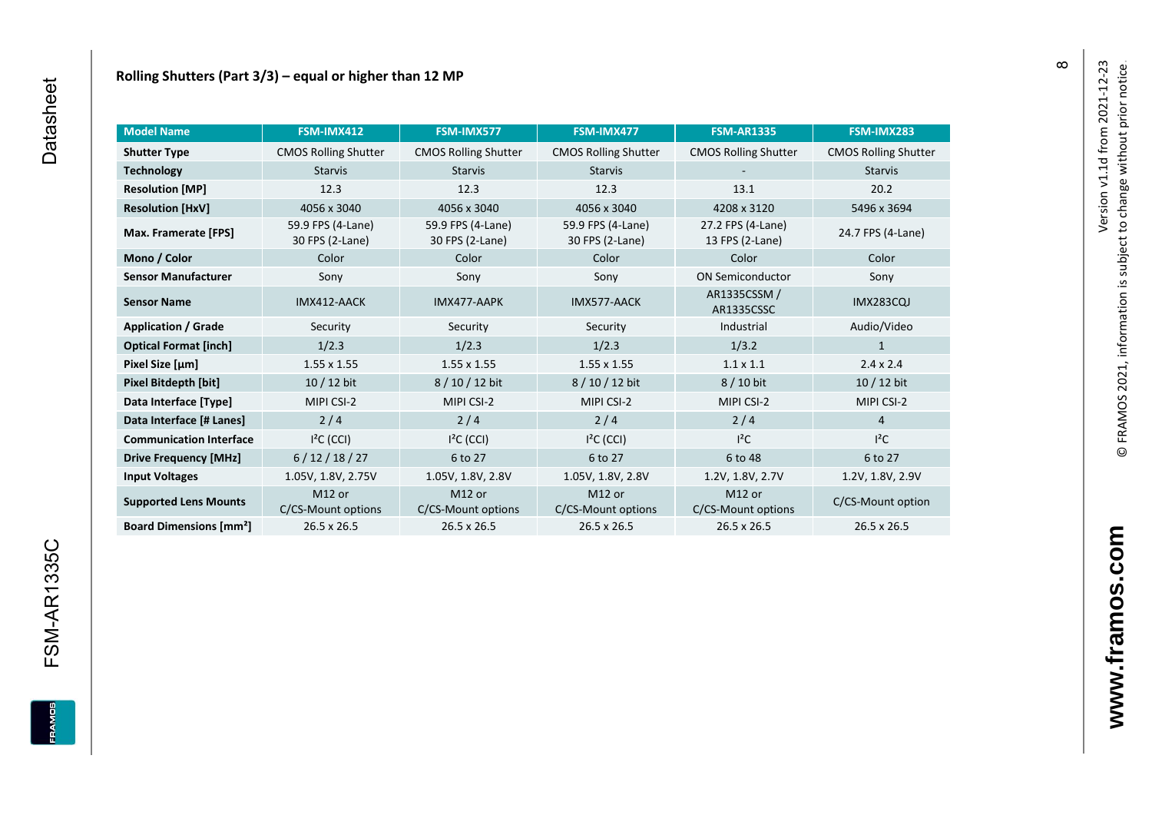| <b>Model Name</b>                        | FSM-IMX412                               | FSM-IMX577                               | FSM-IMX477                               | <b>FSM-AR1335</b>                        | FSM-IMX283                  |
|------------------------------------------|------------------------------------------|------------------------------------------|------------------------------------------|------------------------------------------|-----------------------------|
| <b>Shutter Type</b>                      | <b>CMOS Rolling Shutter</b>              | <b>CMOS Rolling Shutter</b>              | <b>CMOS Rolling Shutter</b>              | <b>CMOS Rolling Shutter</b>              | <b>CMOS Rolling Shutter</b> |
| <b>Technology</b>                        | <b>Starvis</b>                           | <b>Starvis</b>                           | <b>Starvis</b>                           |                                          | <b>Starvis</b>              |
| <b>Resolution [MP]</b>                   | 12.3                                     | 12.3                                     | 12.3                                     | 13.1                                     | 20.2                        |
| <b>Resolution [HxV]</b>                  | 4056 x 3040                              | 4056 x 3040                              | 4056 x 3040                              | 4208 x 3120                              | 5496 x 3694                 |
| Max. Framerate [FPS]                     | 59.9 FPS (4-Lane)<br>30 FPS (2-Lane)     | 59.9 FPS (4-Lane)<br>30 FPS (2-Lane)     | 59.9 FPS (4-Lane)<br>30 FPS (2-Lane)     | 27.2 FPS (4-Lane)<br>13 FPS (2-Lane)     | 24.7 FPS (4-Lane)           |
| Mono / Color                             | Color                                    | Color                                    | Color                                    | Color                                    | Color                       |
| <b>Sensor Manufacturer</b>               | Sony                                     | Sony                                     | Sony                                     | <b>ON Semiconductor</b>                  | Sony                        |
| <b>Sensor Name</b>                       | IMX412-AACK                              | IMX477-AAPK                              | IMX577-AACK                              | AR1335CSSM /<br>AR1335CSSC               | <b>IMX283CQJ</b>            |
| <b>Application / Grade</b>               | Security                                 | Security                                 | Security                                 | Industrial                               | Audio/Video                 |
| <b>Optical Format [inch]</b>             | 1/2.3                                    | 1/2.3                                    | 1/2.3                                    | 1/3.2                                    | $\mathbf{1}$                |
| Pixel Size [µm]                          | $1.55 \times 1.55$                       | $1.55 \times 1.55$                       | $1.55 \times 1.55$                       | $1.1 \times 1.1$                         | $2.4 \times 2.4$            |
| Pixel Bitdepth [bit]                     | 10 / 12 bit                              | 8/10/12 bit                              | 8 / 10 / 12 bit                          | 8 / 10 bit                               | 10 / 12 bit                 |
| Data Interface [Type]                    | MIPI CSI-2                               | MIPI CSI-2                               | MIPI CSI-2                               | MIPI CSI-2                               | MIPI CSI-2                  |
| Data Interface [# Lanes]                 | 2/4                                      | 2/4                                      | 2/4                                      | 2/4                                      | $\overline{4}$              |
| <b>Communication Interface</b>           | $I2C$ (CCI)                              | $I2C$ (CCI)                              | $I2C$ (CCI)                              | $I^2C$                                   | $I^2C$                      |
| <b>Drive Frequency [MHz]</b>             | 6/12/18/27                               | 6 to 27                                  | 6 to 27                                  | 6 to 48                                  | 6 to 27                     |
| <b>Input Voltages</b>                    | 1.05V, 1.8V, 2.75V                       | 1.05V, 1.8V, 2.8V                        | 1.05V, 1.8V, 2.8V                        | 1.2V, 1.8V, 2.7V                         | 1.2V, 1.8V, 2.9V            |
| <b>Supported Lens Mounts</b>             | M <sub>12</sub> or<br>C/CS-Mount options | M <sub>12</sub> or<br>C/CS-Mount options | M <sub>12</sub> or<br>C/CS-Mount options | M <sub>12</sub> or<br>C/CS-Mount options | C/CS-Mount option           |
| <b>Board Dimensions [mm<sup>2</sup>]</b> | 26.5 x 26.5                              | 26.5 x 26.5                              | 26.5 x 26.5                              | 26.5 x 26.5                              | 26.5 x 26.5                 |

**FRAMOS** 

 $\infty$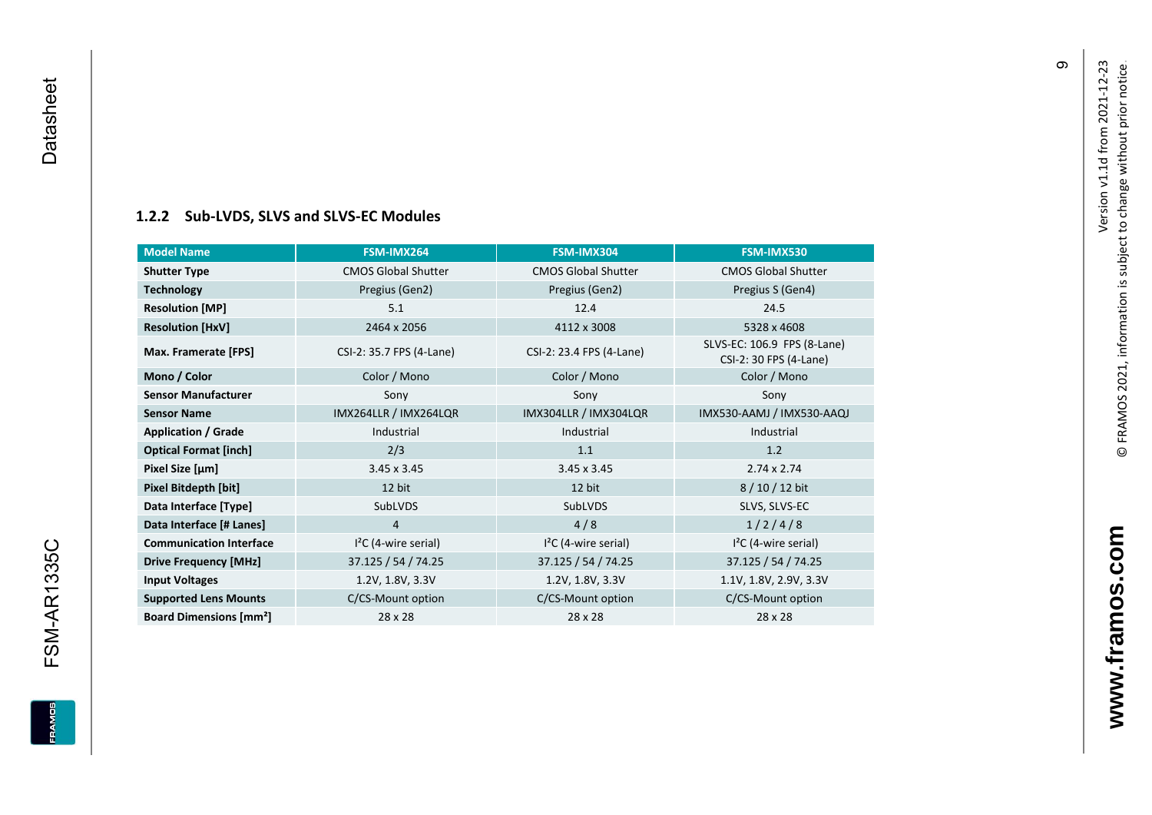#### **[1.2.2](#page-0-7) Sub -LVDS, SLVS and SLVS -EC Modules**

| <b>Model Name</b>                        | FSM-IMX264                 | FSM-IMX304                 | FSM-IMX530                                            |
|------------------------------------------|----------------------------|----------------------------|-------------------------------------------------------|
| <b>Shutter Type</b>                      | <b>CMOS Global Shutter</b> | <b>CMOS Global Shutter</b> | <b>CMOS Global Shutter</b>                            |
| <b>Technology</b>                        | Pregius (Gen2)             | Pregius (Gen2)             | Pregius S (Gen4)                                      |
| <b>Resolution [MP]</b>                   | 5.1                        | 12.4                       | 24.5                                                  |
| <b>Resolution [HxV]</b>                  | 2464 x 2056                | 4112 x 3008                | 5328 x 4608                                           |
| Max. Framerate [FPS]                     | CSI-2: 35.7 FPS (4-Lane)   | CSI-2: 23.4 FPS (4-Lane)   | SLVS-EC: 106.9 FPS (8-Lane)<br>CSI-2: 30 FPS (4-Lane) |
| Mono / Color                             | Color / Mono               | Color / Mono               | Color / Mono                                          |
| <b>Sensor Manufacturer</b>               | Sony                       | Sony                       | Sony                                                  |
| <b>Sensor Name</b>                       | IMX264LLR / IMX264LQR      | IMX304LLR / IMX304LQR      | IMX530-AAMJ / IMX530-AAQJ                             |
| <b>Application / Grade</b>               | Industrial                 | Industrial                 | Industrial                                            |
| <b>Optical Format [inch]</b>             | 2/3                        | 1.1                        | 1.2                                                   |
| Pixel Size [µm]                          | $3.45 \times 3.45$         | $3.45 \times 3.45$         | $2.74 \times 2.74$                                    |
| Pixel Bitdepth [bit]                     | 12 bit                     | 12 bit                     | 8/10/12 bit                                           |
| Data Interface [Type]                    | SubLVDS                    | SubLVDS                    | SLVS, SLVS-EC                                         |
| Data Interface [# Lanes]                 | 4                          | 4/8                        | 1/2/4/8                                               |
| <b>Communication Interface</b>           | $I2C$ (4-wire serial)      | $I2C$ (4-wire serial)      | $I2C$ (4-wire serial)                                 |
| <b>Drive Frequency [MHz]</b>             | 37.125 / 54 / 74.25        | 37.125 / 54 / 74.25        | 37.125 / 54 / 74.25                                   |
| <b>Input Voltages</b>                    | 1.2V, 1.8V, 3.3V           | 1.2V, 1.8V, 3.3V           | 1.1V, 1.8V, 2.9V, 3.3V                                |
| <b>Supported Lens Mounts</b>             | C/CS-Mount option          | C/CS-Mount option          | C/CS-Mount option                                     |
| <b>Board Dimensions [mm<sup>2</sup>]</b> | 28 x 28                    | 28 x 28                    | 28 x 28                                               |

თ

<span id="page-10-0"></span>**FSM-AR1335C**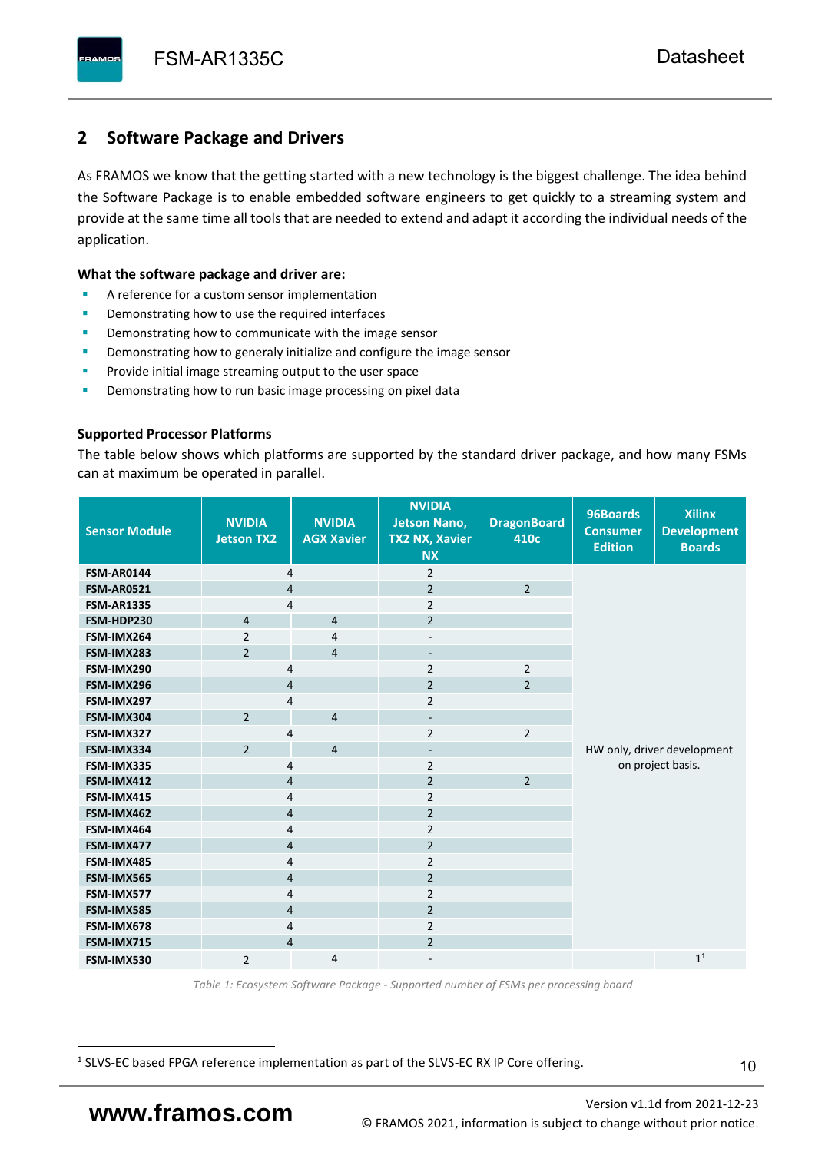# <span id="page-11-0"></span>**2 Software Package and Drivers**

As FRAMOS we know that the getting started with a new technology is the biggest challenge. The idea behind the Software Package is to enable embedded software engineers to get quickly to a streaming system and provide at the same time all tools that are needed to extend and adapt it according the individual needs of the application.

#### **What the software package and driver are:**

- A reference for a custom sensor implementation
- Demonstrating how to use the required interfaces
- Demonstrating how to communicate with the image sensor
- Demonstrating how to generaly initialize and configure the image sensor
- Provide initial image streaming output to the user space
- Demonstrating how to run basic image processing on pixel data

#### **Supported Processor Platforms**

The table below shows which platforms are supported by the standard driver package, and how many FSMs can at maximum be operated in parallel.

| <b>Sensor Module</b> | <b>NVIDIA</b><br><b>Jetson TX2</b> | <b>NVIDIA</b><br><b>AGX Xavier</b> | <b>NVIDIA</b><br><b>Jetson Nano,</b><br><b>TX2 NX, Xavier</b><br><b>NX</b> | <b>DragonBoard</b><br>410c | 96Boards<br><b>Consumer</b><br><b>Edition</b>    | <b>Xilinx</b><br><b>Development</b><br><b>Boards</b> |
|----------------------|------------------------------------|------------------------------------|----------------------------------------------------------------------------|----------------------------|--------------------------------------------------|------------------------------------------------------|
| <b>FSM-AR0144</b>    | 4                                  |                                    | $\overline{2}$                                                             |                            |                                                  |                                                      |
| <b>FSM-AR0521</b>    | $\overline{4}$                     |                                    | $\overline{2}$                                                             | $\overline{2}$             |                                                  |                                                      |
| <b>FSM-AR1335</b>    | 4                                  |                                    | $\overline{2}$                                                             |                            |                                                  |                                                      |
| FSM-HDP230           | $\overline{4}$                     | $\overline{4}$                     | $\overline{2}$                                                             |                            |                                                  |                                                      |
| FSM-IMX264           | $\overline{2}$                     | $\overline{4}$                     | $\overline{\phantom{a}}$                                                   |                            |                                                  |                                                      |
| FSM-IMX283           | $\overline{2}$                     | $\overline{4}$                     | $\overline{\phantom{a}}$                                                   |                            |                                                  |                                                      |
| FSM-IMX290           | 4                                  |                                    | $\overline{2}$                                                             | $\overline{2}$             |                                                  |                                                      |
| FSM-IMX296           | 4                                  |                                    | $\overline{2}$                                                             | $\overline{2}$             |                                                  |                                                      |
| FSM-IMX297           | 4                                  |                                    | $\overline{2}$                                                             |                            |                                                  |                                                      |
| FSM-IMX304           | $\overline{2}$                     | $\overline{4}$                     | $\overline{\phantom{a}}$                                                   |                            | HW only, driver development<br>on project basis. |                                                      |
| FSM-IMX327           | 4                                  |                                    | $\overline{2}$                                                             | $\overline{2}$             |                                                  |                                                      |
| FSM-IMX334           | $\overline{2}$                     | $\overline{4}$                     | $\overline{\phantom{a}}$                                                   |                            |                                                  |                                                      |
| FSM-IMX335           | 4                                  |                                    | $\overline{2}$                                                             |                            |                                                  |                                                      |
| FSM-IMX412           | $\overline{4}$                     |                                    | $\overline{2}$                                                             | $\overline{2}$             |                                                  |                                                      |
| FSM-IMX415           | 4                                  |                                    | $\overline{2}$                                                             |                            |                                                  |                                                      |
| FSM-IMX462           | $\overline{\mathbf{4}}$            |                                    | $\overline{2}$                                                             |                            |                                                  |                                                      |
| FSM-IMX464           | $\overline{4}$                     |                                    | $\overline{2}$                                                             |                            |                                                  |                                                      |
| FSM-IMX477           | $\overline{4}$                     |                                    | $\overline{2}$                                                             |                            |                                                  |                                                      |
| FSM-IMX485           | $\overline{4}$                     |                                    | $\overline{2}$                                                             |                            |                                                  |                                                      |
| FSM-IMX565           | $\overline{4}$                     |                                    | $\overline{2}$                                                             |                            |                                                  |                                                      |
| FSM-IMX577           | $\overline{4}$                     |                                    | $\overline{2}$                                                             |                            |                                                  |                                                      |
| FSM-IMX585           | $\overline{4}$                     |                                    | $\overline{2}$                                                             |                            |                                                  |                                                      |
| FSM-IMX678           | 4                                  |                                    | $\overline{2}$                                                             |                            |                                                  |                                                      |
| FSM-IMX715           | $\overline{4}$                     |                                    | $\overline{2}$                                                             |                            |                                                  |                                                      |
| FSM-IMX530           | $\overline{2}$                     | $\overline{4}$                     |                                                                            |                            |                                                  | 1 <sup>1</sup>                                       |

*Table 1: Ecosystem Software Package - Supported number of FSMs per processing board*

<sup>1</sup> SLVS-EC based FPGA reference implementation as part of the SLVS-EC RX IP Core offering.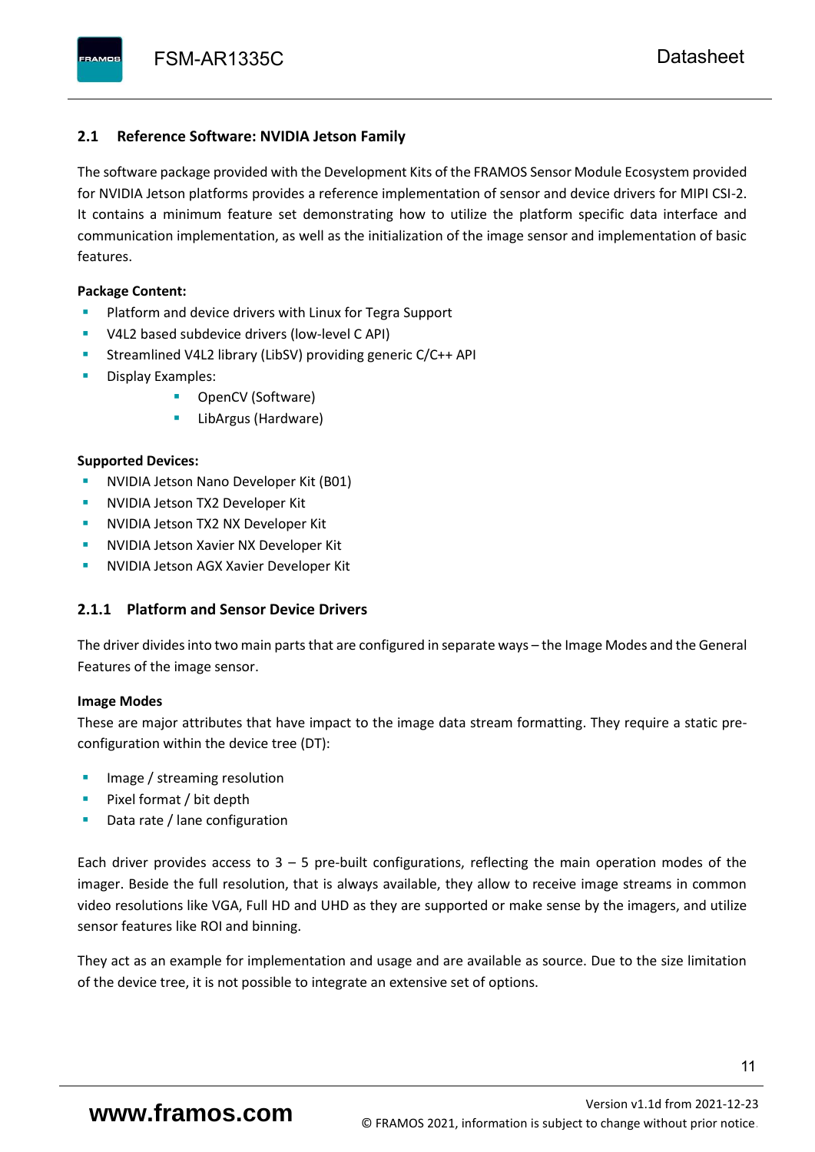#### <span id="page-12-0"></span>**2.1 Reference Software: NVIDIA Jetson Family**

The software package provided with the Development Kits of the FRAMOS Sensor Module Ecosystem provided for NVIDIA Jetson platforms provides a reference implementation of sensor and device drivers for MIPI CSI-2. It contains a minimum feature set demonstrating how to utilize the platform specific data interface and communication implementation, as well as the initialization of the image sensor and implementation of basic features.

#### **Package Content:**

- Platform and device drivers with Linux for Tegra Support
- V4L2 based subdevice drivers (low-level C API)
- Streamlined V4L2 library (LibSV) providing generic C/C++ API
- Display Examples:
	- OpenCV (Software)
	- LibArgus (Hardware)

#### **Supported Devices:**

- **NVIDIA Jetson Nano Developer Kit (B01)**
- **NVIDIA Jetson TX2 Developer Kit**
- NVIDIA Jetson TX2 NX Developer Kit
- **NVIDIA Jetson Xavier NX Developer Kit**
- **NVIDIA Jetson AGX Xavier Developer Kit**

## <span id="page-12-1"></span>**2.1.1 Platform and Sensor Device Drivers**

The driver divides into two main parts that are configured in separate ways – the Image Modes and the General Features of the image sensor.

#### **Image Modes**

These are major attributes that have impact to the image data stream formatting. They require a static preconfiguration within the device tree (DT):

- Image / streaming resolution
- Pixel format / bit depth
- Data rate / lane configuration

Each driver provides access to  $3 - 5$  pre-built configurations, reflecting the main operation modes of the imager. Beside the full resolution, that is always available, they allow to receive image streams in common video resolutions like VGA, Full HD and UHD as they are supported or make sense by the imagers, and utilize sensor features like ROI and binning.

They act as an example for implementation and usage and are available as source. Due to the size limitation of the device tree, it is not possible to integrate an extensive set of options.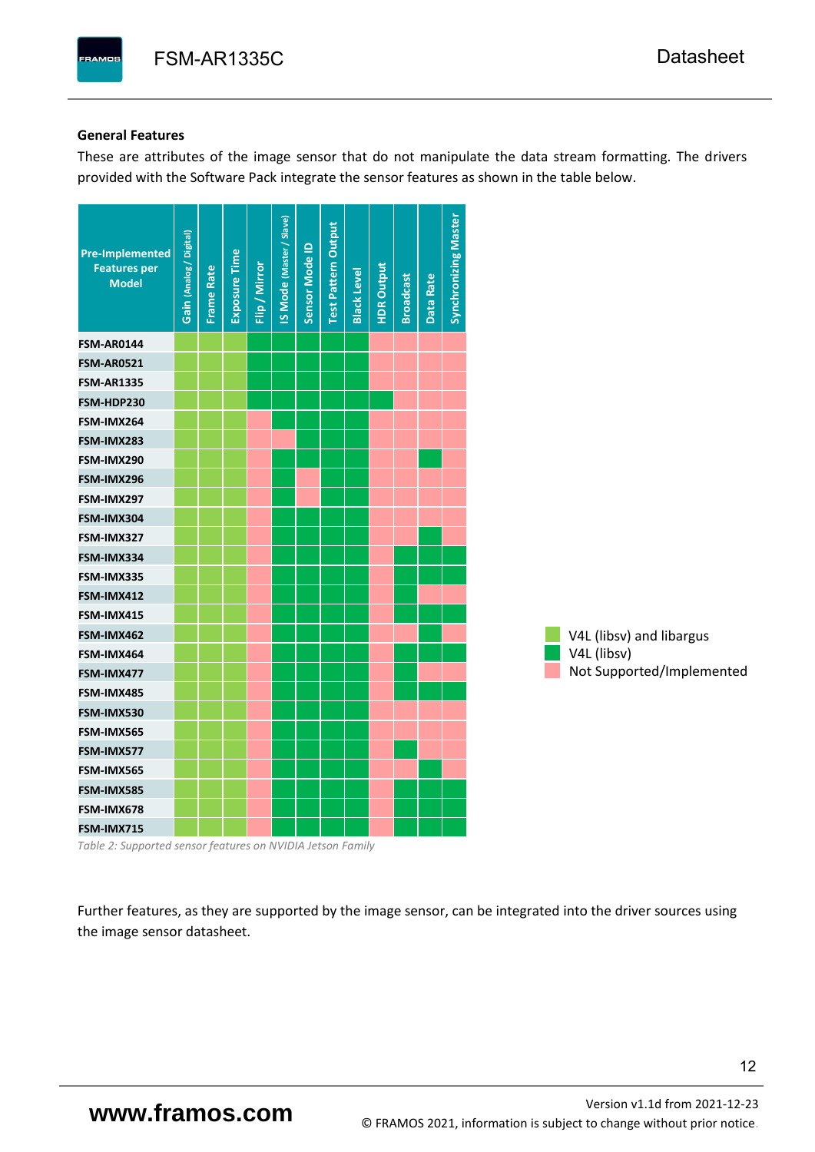#### **General Features**

These are attributes of the image sensor that do not manipulate the data stream formatting. The drivers provided with the Software Pack integrate the sensor features as shown in the table below.

| <b>Pre-Implemented</b><br><b>Features per</b><br><b>Model</b> | Gain (Analog / Digital) | <b>Frame Rate</b> | <b>Exposure Time</b> | Flip / Mirror | <b>IS Mode (Master / Slave)</b> | Sensor Mode ID | <b>Test Pattern Output</b> | <b>Black Level</b> | <b>HDR Output</b> | <b>Broadcast</b> | Data Rate | <b>Synchronizing Master</b> |                           |
|---------------------------------------------------------------|-------------------------|-------------------|----------------------|---------------|---------------------------------|----------------|----------------------------|--------------------|-------------------|------------------|-----------|-----------------------------|---------------------------|
| <b>FSM-AR0144</b>                                             |                         |                   |                      |               |                                 |                |                            |                    |                   |                  |           |                             |                           |
| <b>FSM-AR0521</b>                                             |                         |                   |                      |               |                                 |                |                            |                    |                   |                  |           |                             |                           |
| <b>FSM-AR1335</b>                                             |                         |                   |                      |               |                                 |                |                            |                    |                   |                  |           |                             |                           |
| FSM-HDP230                                                    |                         |                   |                      |               |                                 |                |                            |                    |                   |                  |           |                             |                           |
| FSM-IMX264                                                    |                         |                   |                      |               |                                 |                |                            |                    |                   |                  |           |                             |                           |
| FSM-IMX283                                                    |                         |                   |                      |               |                                 |                |                            |                    |                   |                  |           |                             |                           |
| FSM-IMX290                                                    |                         |                   |                      |               |                                 |                |                            |                    |                   |                  |           |                             |                           |
| FSM-IMX296                                                    |                         |                   |                      |               |                                 |                |                            |                    |                   |                  |           |                             |                           |
| FSM-IMX297                                                    |                         |                   |                      |               |                                 |                |                            |                    |                   |                  |           |                             |                           |
| FSM-IMX304                                                    |                         |                   |                      |               |                                 |                |                            |                    |                   |                  |           |                             |                           |
| FSM-IMX327                                                    |                         |                   |                      |               |                                 |                |                            |                    |                   |                  |           |                             |                           |
| FSM-IMX334                                                    |                         |                   |                      |               |                                 |                |                            |                    |                   |                  |           |                             |                           |
| FSM-IMX335                                                    |                         |                   |                      |               |                                 |                |                            |                    |                   |                  |           |                             |                           |
| FSM-IMX412                                                    |                         |                   |                      |               |                                 |                |                            |                    |                   |                  |           |                             |                           |
| FSM-IMX415                                                    |                         |                   |                      |               |                                 |                |                            |                    |                   |                  |           |                             |                           |
| FSM-IMX462                                                    |                         |                   |                      |               |                                 |                |                            |                    |                   |                  |           |                             | V4L (libsv) and libargus  |
| FSM-IMX464                                                    |                         |                   |                      |               |                                 |                |                            |                    |                   |                  |           |                             | V4L (libsv)               |
| FSM-IMX477                                                    |                         |                   |                      |               |                                 |                |                            |                    |                   |                  |           |                             | Not Supported/Implemented |
| FSM-IMX485                                                    |                         |                   |                      |               |                                 |                |                            |                    |                   |                  |           |                             |                           |
| FSM-IMX530                                                    |                         |                   |                      |               |                                 |                |                            |                    |                   |                  |           |                             |                           |
| FSM-IMX565                                                    |                         |                   |                      |               |                                 |                |                            |                    |                   |                  |           |                             |                           |
| FSM-IMX577                                                    |                         |                   |                      |               |                                 |                |                            |                    |                   |                  |           |                             |                           |
| FSM-IMX565                                                    |                         |                   |                      |               |                                 |                |                            |                    |                   |                  |           |                             |                           |
| FSM-IMX585                                                    |                         |                   |                      |               |                                 |                |                            |                    |                   |                  |           |                             |                           |
| FSM-IMX678                                                    |                         |                   |                      |               |                                 |                |                            |                    |                   |                  |           |                             |                           |
| FSM-IMX715                                                    |                         |                   |                      |               |                                 |                |                            |                    |                   |                  |           |                             |                           |

*Table 2: Supported sensor features on NVIDIA Jetson Family*

Further features, as they are supported by the image sensor, can be integrated into the driver sources using the image sensor datasheet.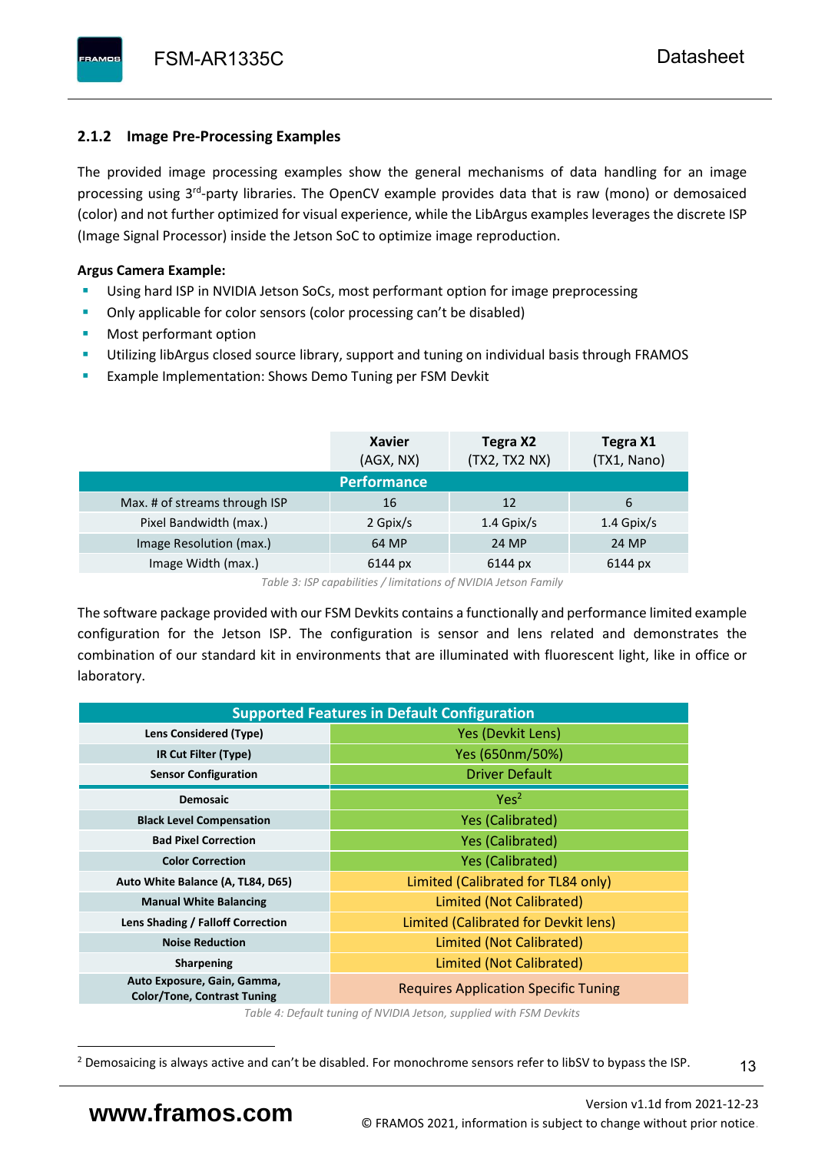# <span id="page-14-0"></span>**2.1.2 Image Pre-Processing Examples**

The provided image processing examples show the general mechanisms of data handling for an image processing using 3<sup>rd</sup>-party libraries. The OpenCV example provides data that is raw (mono) or demosaiced (color) and not further optimized for visual experience, while the LibArgus examples leverages the discrete ISP (Image Signal Processor) inside the Jetson SoC to optimize image reproduction.

# **Argus Camera Example:**

- Using hard ISP in NVIDIA Jetson SoCs, most performant option for image preprocessing
- Only applicable for color sensors (color processing can't be disabled)
- Most performant option
- Utilizing libArgus closed source library, support and tuning on individual basis through FRAMOS
- Example Implementation: Shows Demo Tuning per FSM Devkit

|                               | <b>Xavier</b><br>(AGX, NX) | Tegra X2<br>(TX2, TX2 NX) | Tegra X1<br>(TX1, Nano) |
|-------------------------------|----------------------------|---------------------------|-------------------------|
|                               | <b>Performance</b>         |                           |                         |
| Max. # of streams through ISP | 16                         | 12                        | 6                       |
| Pixel Bandwidth (max.)        | 2 Gpix/s                   | $1.4$ Gpix/s              | $1.4$ Gpix/s            |
| Image Resolution (max.)       | 64 MP                      | 24 MP                     | 24 MP                   |
| Image Width (max.)            | 6144 px                    | 6144 px                   | 6144 px                 |

*Table 3: ISP capabilities / limitations of NVIDIA Jetson Family*

The software package provided with our FSM Devkits contains a functionally and performance limited example configuration for the Jetson ISP. The configuration is sensor and lens related and demonstrates the combination of our standard kit in environments that are illuminated with fluorescent light, like in office or laboratory.

|                                                                   | <b>Supported Features in Default Configuration</b> |  |  |  |  |
|-------------------------------------------------------------------|----------------------------------------------------|--|--|--|--|
| Lens Considered (Type)                                            | Yes (Devkit Lens)                                  |  |  |  |  |
| IR Cut Filter (Type)                                              | Yes (650nm/50%)                                    |  |  |  |  |
| <b>Sensor Configuration</b>                                       | <b>Driver Default</b>                              |  |  |  |  |
| <b>Demosaic</b>                                                   | Yes <sup>2</sup>                                   |  |  |  |  |
| <b>Black Level Compensation</b>                                   | <b>Yes (Calibrated)</b>                            |  |  |  |  |
| <b>Bad Pixel Correction</b>                                       | <b>Yes (Calibrated)</b>                            |  |  |  |  |
| <b>Color Correction</b>                                           | <b>Yes (Calibrated)</b>                            |  |  |  |  |
| Auto White Balance (A, TL84, D65)                                 | Limited (Calibrated for TL84 only)                 |  |  |  |  |
| <b>Manual White Balancing</b>                                     | Limited (Not Calibrated)                           |  |  |  |  |
| Lens Shading / Falloff Correction                                 | Limited (Calibrated for Devkit lens)               |  |  |  |  |
| <b>Noise Reduction</b>                                            | Limited (Not Calibrated)                           |  |  |  |  |
| <b>Sharpening</b>                                                 | Limited (Not Calibrated)                           |  |  |  |  |
| Auto Exposure, Gain, Gamma,<br><b>Color/Tone, Contrast Tuning</b> | <b>Requires Application Specific Tuning</b>        |  |  |  |  |

*Table 4: Default tuning of NVIDIA Jetson, supplied with FSM Devkits*

<sup>&</sup>lt;sup>2</sup> Demosaicing is always active and can't be disabled. For monochrome sensors refer to libSV to bypass the ISP.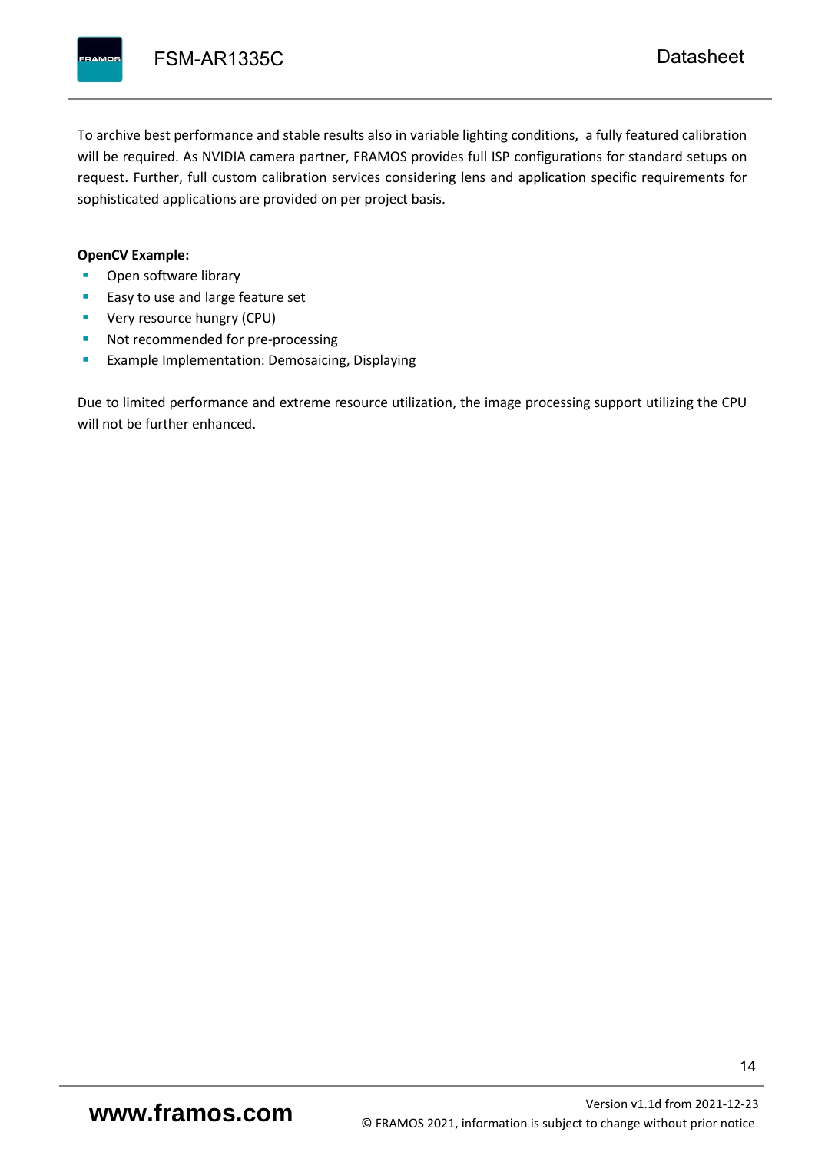To archive best performance and stable results also in variable lighting conditions, a fully featured calibration will be required. As NVIDIA camera partner, FRAMOS provides full ISP configurations for standard setups on request. Further, full custom calibration services considering lens and application specific requirements for sophisticated applications are provided on per project basis.

#### **OpenCV Example:**

- Open software library
- Easy to use and large feature set
- **•** Very resource hungry (CPU)
- Not recommended for pre-processing
- **Example Implementation: Demosaicing, Displaying**

Due to limited performance and extreme resource utilization, the image processing support utilizing the CPU will not be further enhanced.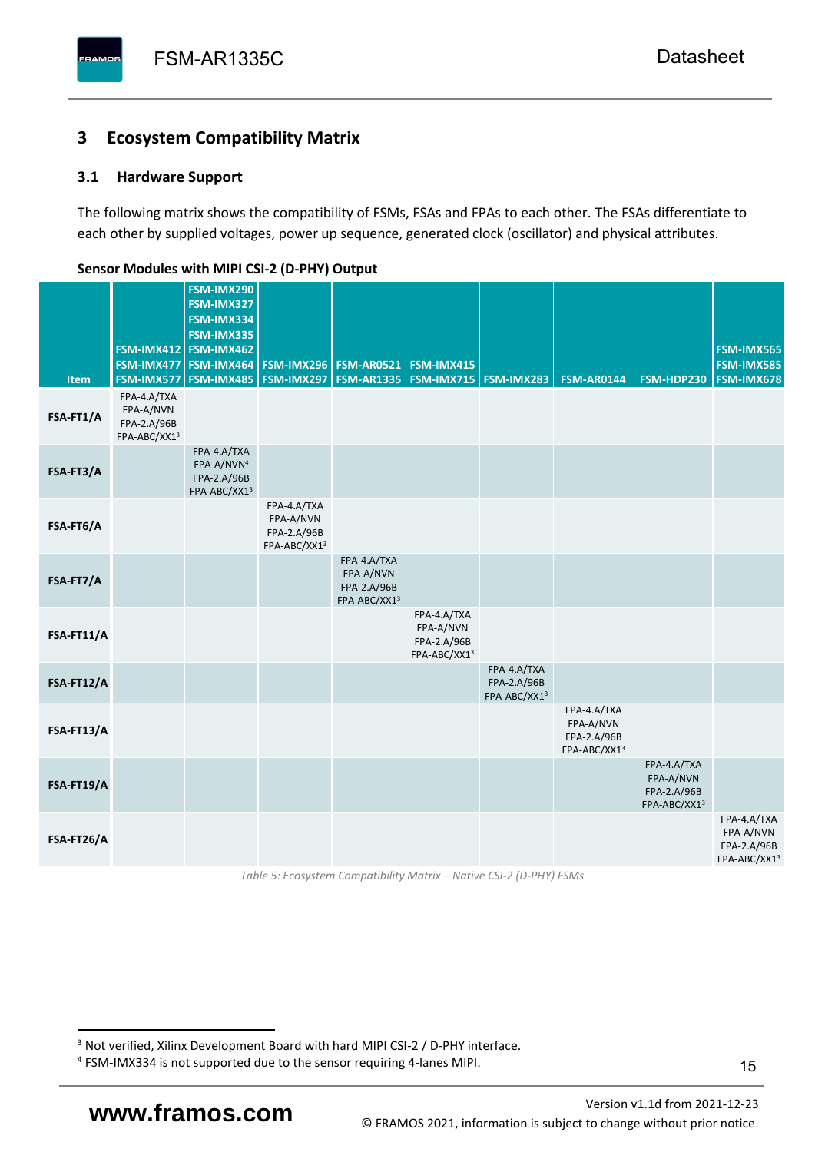# <span id="page-16-0"></span>**3 Ecosystem Compatibility Matrix**

# <span id="page-16-1"></span>**3.1 Hardware Support**

The following matrix shows the compatibility of FSMs, FSAs and FPAs to each other. The FSAs differentiate to each other by supplied voltages, power up sequence, generated clock (oscillator) and physical attributes.

| Item       | FSM-IMX577                                              | FSM-IMX290<br>FSM-IMX327<br>FSM-IMX334<br>FSM-IMX335<br>FSM-IMX412 FSM-IMX462<br>FSM-IMX477   FSM-IMX464<br><b>FSM-IMX485</b> | <b>FSM-IMX296</b><br><b>FSM-IMX297</b>                  | <b>FSM-AR0521</b><br><b>FSM-AR1335</b>                  | <b>FSM-IMX415</b>                                       | <b>FSM-IMX715 FSM-IMX283</b>               | <b>FSM-AR0144</b>                                       | FSM-HDP230                                              | FSM-IMX565<br>FSM-IMX585<br><b>FSM-IMX678</b>           |
|------------|---------------------------------------------------------|-------------------------------------------------------------------------------------------------------------------------------|---------------------------------------------------------|---------------------------------------------------------|---------------------------------------------------------|--------------------------------------------|---------------------------------------------------------|---------------------------------------------------------|---------------------------------------------------------|
| FSA-FT1/A  | FPA-4.A/TXA<br>FPA-A/NVN<br>FPA-2.A/96B<br>FPA-ABC/XX13 |                                                                                                                               |                                                         |                                                         |                                                         |                                            |                                                         |                                                         |                                                         |
| FSA-FT3/A  |                                                         | FPA-4.A/TXA<br>FPA-A/NVN <sup>4</sup><br>FPA-2.A/96B<br>FPA-ABC/XX13                                                          |                                                         |                                                         |                                                         |                                            |                                                         |                                                         |                                                         |
| FSA-FT6/A  |                                                         |                                                                                                                               | FPA-4.A/TXA<br>FPA-A/NVN<br>FPA-2.A/96B<br>FPA-ABC/XX13 |                                                         |                                                         |                                            |                                                         |                                                         |                                                         |
| FSA-FT7/A  |                                                         |                                                                                                                               |                                                         | FPA-4.A/TXA<br>FPA-A/NVN<br>FPA-2.A/96B<br>FPA-ABC/XX13 |                                                         |                                            |                                                         |                                                         |                                                         |
| FSA-FT11/A |                                                         |                                                                                                                               |                                                         |                                                         | FPA-4.A/TXA<br>FPA-A/NVN<br>FPA-2.A/96B<br>FPA-ABC/XX13 |                                            |                                                         |                                                         |                                                         |
| FSA-FT12/A |                                                         |                                                                                                                               |                                                         |                                                         |                                                         | FPA-4.A/TXA<br>FPA-2.A/96B<br>FPA-ABC/XX13 |                                                         |                                                         |                                                         |
| FSA-FT13/A |                                                         |                                                                                                                               |                                                         |                                                         |                                                         |                                            | FPA-4.A/TXA<br>FPA-A/NVN<br>FPA-2.A/96B<br>FPA-ABC/XX13 |                                                         |                                                         |
| FSA-FT19/A |                                                         |                                                                                                                               |                                                         |                                                         |                                                         |                                            |                                                         | FPA-4.A/TXA<br>FPA-A/NVN<br>FPA-2.A/96B<br>FPA-ABC/XX13 |                                                         |
| FSA-FT26/A |                                                         |                                                                                                                               |                                                         |                                                         |                                                         |                                            |                                                         |                                                         | FPA-4.A/TXA<br>FPA-A/NVN<br>FPA-2.A/96B<br>FPA-ABC/XX13 |

#### <span id="page-16-2"></span>**Sensor Modules with MIPI CSI-2 (D-PHY) Output**

*Table 5: Ecosystem Compatibility Matrix – Native CSI-2 (D-PHY) FSMs*

Version [v1.1d](#page-0-3) from 2021-12-23 **www.framos.com** © FRAMOS 2021, [information is subject to change without prior notice.](mailto:sales@framos.de)

<sup>&</sup>lt;sup>3</sup> Not verified, Xilinx Development Board with hard MIPI CSI-2 / D-PHY interface.

<sup>4</sup> FSM-IMX334 is not supported due to the sensor requiring 4-lanes MIPI.